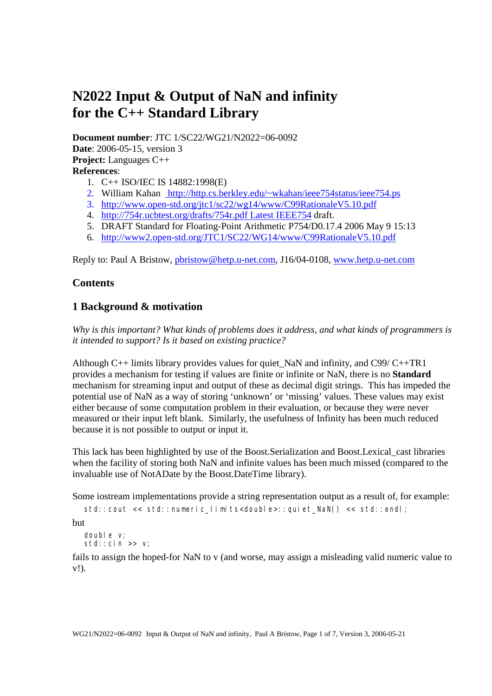# **N2022 Input & Output of NaN and infinity for the C++ Standard Library**

**Document number**: JTC 1/SC22/WG21/N2022=06-0092 **Date**: 2006-05-15, version 3 **Project:** Languages C++ **References**:

- 1. C++ ISO/IEC IS 14882:1998(E)
- 2. William Kahan http://http.cs.berkley.edu/~wkahan/ieee754status/ieee754.ps
- 3. http://www.open-std.org/jtc1/sc22/wg14/www/C99RationaleV5.10.pdf
- 4. http://754r.ucbtest.org/drafts/754r.pdf Latest IEEE754 draft.
- 5. DRAFT Standard for Floating-Point Arithmetic P754/D0.17.4 2006 May 9 15:13
- 6. http://www2.open-std.org/JTC1/SC22/WG14/www/C99RationaleV5.10.pdf

Reply to: Paul A Bristow, pbristow@hetp.u-net.com, J16/04-0108, www.hetp.u-net.com

# **Contents**

# **1 Background & motivation**

*Why is this important? What kinds of problems does it address, and what kinds of programmers is it intended to support? Is it based on existing practice?*

Although C++ limits library provides values for quiet\_NaN and infinity, and C99/ C++TR1 provides a mechanism for testing if values are finite or infinite or NaN, there is no **Standard** mechanism for streaming input and output of these as decimal digit strings. This has impeded the potential use of NaN as a way of storing 'unknown' or 'missing' values. These values may exist either because of some computation problem in their evaluation, or because they were never measured or their input left blank. Similarly, the usefulness of Infinity has been much reduced because it is not possible to output or input it.

This lack has been highlighted by use of the Boost.Serialization and Boost.Lexical\_cast libraries when the facility of storing both NaN and infinite values has been much missed (compared to the invaluable use of NotADate by the Boost.DateTime library).

Some iostream implementations provide a string representation output as a result of, for example:

std::cout << std::numeric\_limits<double>::quiet\_NaN() << std::endl;

but

double v; std::cin >> v;

fails to assign the hoped-for NaN to v (and worse, may assign a misleading valid numeric value to v!).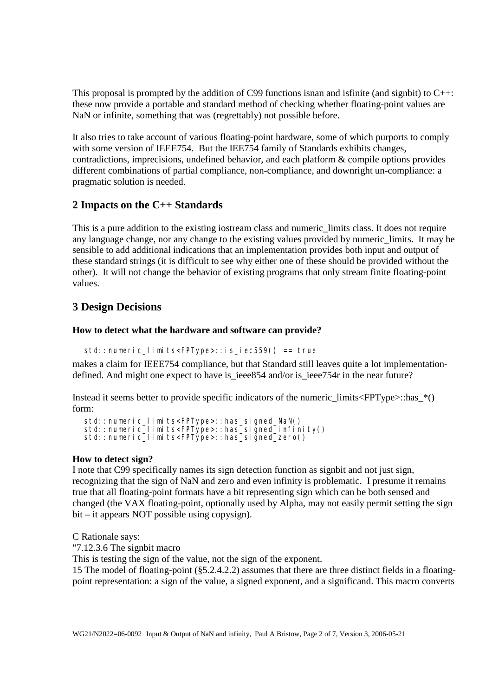This proposal is prompted by the addition of C99 functions isnan and isfinite (and signbit) to  $C_{++}$ : these now provide a portable and standard method of checking whether floating-point values are NaN or infinite, something that was (regrettably) not possible before.

It also tries to take account of various floating-point hardware, some of which purports to comply with some version of IEEE754. But the IEE754 family of Standards exhibits changes, contradictions, imprecisions, undefined behavior, and each platform & compile options provides different combinations of partial compliance, non-compliance, and downright un-compliance: a pragmatic solution is needed.

# **2 Impacts on the C++ Standards**

This is a pure addition to the existing iostream class and numeric\_limits class. It does not require any language change, nor any change to the existing values provided by numeric\_limits. It may be sensible to add additional indications that an implementation provides both input and output of these standard strings (it is difficult to see why either one of these should be provided without the other). It will not change the behavior of existing programs that only stream finite floating-point values.

# **3 Design Decisions**

# **How to detect what the hardware and software can provide?**

```
std::numeric limits<FPType>::is iec559() == true
```
makes a claim for IEEE754 compliance, but that Standard still leaves quite a lot implementationdefined. And might one expect to have is ieee854 and/or is ieee754r in the near future?

Instead it seems better to provide specific indicators of the numeric  $\limits \leq FPT\text{ype}>\text{...has}^*()$ form:

```
std::numeric_limits<FPType>::has_signed_NaN()
std::numeric_limits<FPType>::has_signed_infinity() 
std::numeric_limits<FPType>::has_signed_zero()
```
# **How to detect sign?**

I note that C99 specifically names its sign detection function as signbit and not just sign, recognizing that the sign of NaN and zero and even infinity is problematic. I presume it remains true that all floating-point formats have a bit representing sign which can be both sensed and changed (the VAX floating-point, optionally used by Alpha, may not easily permit setting the sign bit – it appears NOT possible using copysign).

C Rationale says:

"7.12.3.6 The signbit macro

This is testing the sign of the value, not the sign of the exponent.

15 The model of floating-point (§5.2.4.2.2) assumes that there are three distinct fields in a floatingpoint representation: a sign of the value, a signed exponent, and a significand. This macro converts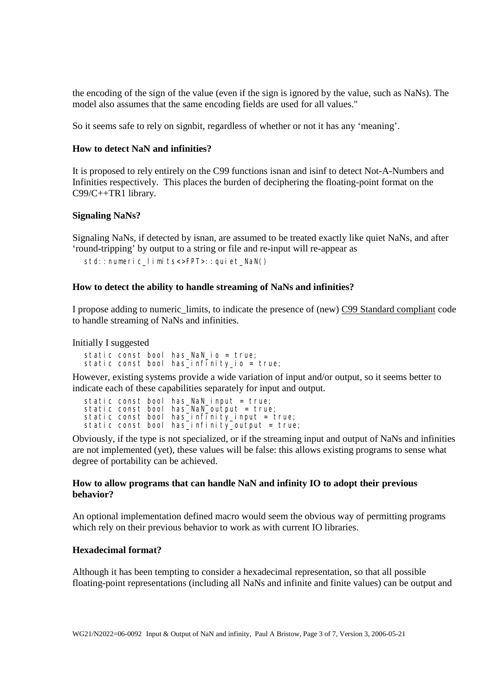the encoding of the sign of the value (even if the sign is ignored by the value, such as NaNs). The model also assumes that the same encoding fields are used for all values."

So it seems safe to rely on signbit, regardless of whether or not it has any 'meaning'.

#### **How to detect NaN and infinities?**

It is proposed to rely entirely on the C99 functions isnan and isinf to detect Not-A-Numbers and Infinities respectively. This places the burden of deciphering the floating-point format on the C99/C++TR1 library.

#### **Signaling NaNs?**

Signaling NaNs, if detected by isnan, are assumed to be treated exactly like quiet NaNs, and after 'round-tripping' by output to a string or file and re-input will re-appear as

std::numeric limits<>FPT>::auiet NaN()

#### **How to detect the ability to handle streaming of NaNs and infinities?**

I propose adding to numeric\_limits, to indicate the presence of (new) C99 Standard compliant code to handle streaming of NaNs and infinities.

Initially I suggested

static const bool has\_NaN\_io = true; static const bool has\_infinity\_io = true;

However, existing systems provide a wide variation of input and/or output, so it seems better to indicate each of these capabilities separately for input and output.

static const bool has\_NaN\_input = true; static const bool has\_NaN\_output = true; static const bool has\_infinity\_input = true; static const bool has\_infinity\_output = true;

Obviously, if the type is not specialized, or if the streaming input and output of NaNs and infinities are not implemented (yet), these values will be false: this allows existing programs to sense what degree of portability can be achieved.

## **How to allow programs that can handle NaN and infinity IO to adopt their previous behavior?**

An optional implementation defined macro would seem the obvious way of permitting programs which rely on their previous behavior to work as with current IO libraries.

## **Hexadecimal format?**

Although it has been tempting to consider a hexadecimal representation, so that all possible floating-point representations (including all NaNs and infinite and finite values) can be output and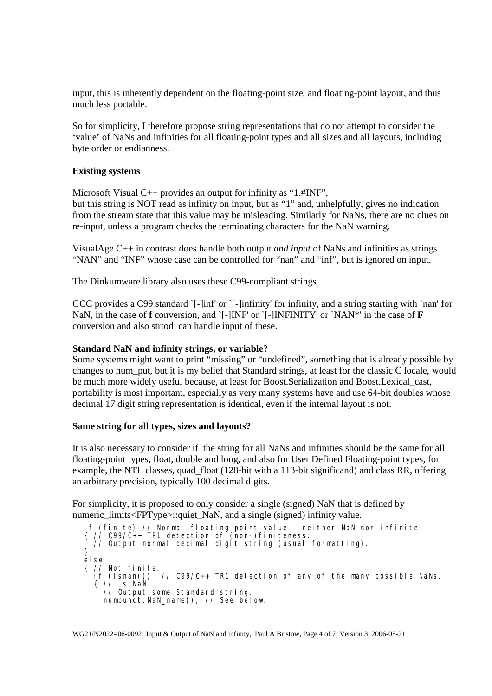input, this is inherently dependent on the floating-point size, and floating-point layout, and thus much less portable.

So for simplicity, I therefore propose string representations that do not attempt to consider the 'value' of NaNs and infinities for all floating-point types and all sizes and all layouts, including byte order or endianness.

## **Existing systems**

Microsoft Visual C++ provides an output for infinity as "1.#INF",

but this string is NOT read as infinity on input, but as "1" and, unhelpfully, gives no indication from the stream state that this value may be misleading. Similarly for NaNs, there are no clues on re-input, unless a program checks the terminating characters for the NaN warning.

VisualAge C++ in contrast does handle both output *and input* of NaNs and infinities as strings "NAN" and "INF" whose case can be controlled for "nan" and "inf", but is ignored on input.

The Dinkumware library also uses these C99-compliant strings.

GCC provides a C99 standard `[-]inf' or `[-]infinity' for infinity, and a string starting with `nan' for NaN, in the case of **f** conversion, and `[-]INF' or `[-]INFINITY' or `NAN\*' in the case of **F** conversion and also strtod can handle input of these.

#### **Standard NaN and infinity strings, or variable?**

Some systems might want to print "missing" or "undefined", something that is already possible by changes to num\_put, but it is my belief that Standard strings, at least for the classic C locale, would be much more widely useful because, at least for Boost.Serialization and Boost.Lexical\_cast, portability is most important, especially as very many systems have and use 64-bit doubles whose decimal 17 digit string representation is identical, even if the internal layout is not.

#### **Same string for all types, sizes and layouts?**

It is also necessary to consider if the string for all NaNs and infinities should be the same for all floating-point types, float, double and long, and also for User Defined Floating-point types, for example, the NTL classes, quad float (128-bit with a 113-bit significand) and class RR, offering an arbitrary precision, typically 100 decimal digits.

For simplicity, it is proposed to only consider a single (signed) NaN that is defined by numeric\_limits<FPType>::quiet\_NaN, and a single (signed) infinity value.

if (finite) // Normal floating-point value – neither NaN nor infinite  $\{$  // C99/C++ TR1 detection of (non-)finiteness. // Output normal decimal digit string (usual formatting). } el se { // Not finite.  $i$ // C99/C++ TR1 detection of any of the many possible NaNs. if (isnan())<br>{ // is NaN. // Output some Standard string, numpunct.NaN\_name(); // See below.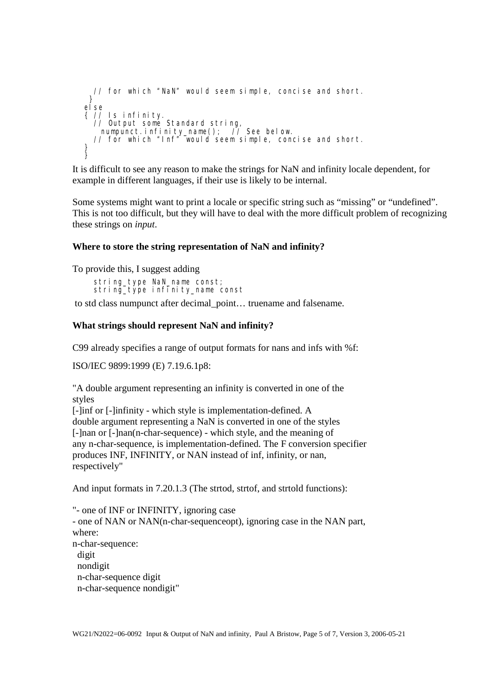```
 // for which "NaN" would seem simple, concise and short. 
  } 
else 
{ // Is infinity. 
 // Output some Standard string, 
 numpunct.infinity_name(); // See below. 
 // for which "Inf" would seem simple, concise and short. 
} 
}<br>}
```
It is difficult to see any reason to make the strings for NaN and infinity locale dependent, for example in different languages, if their use is likely to be internal.

Some systems might want to print a locale or specific string such as "missing" or "undefined". This is not too difficult, but they will have to deal with the more difficult problem of recognizing these strings on *input*.

## **Where to store the string representation of NaN and infinity?**

To provide this, I suggest adding

 string\_type NaN\_name const; string\_type infinity\_name const

to std class numpunct after decimal\_point… truename and falsename.

## **What strings should represent NaN and infinity?**

C99 already specifies a range of output formats for nans and infs with %f:

ISO/IEC 9899:1999 (E) 7.19.6.1p8:

"A double argument representing an infinity is converted in one of the styles

[-]inf or [-]infinity - which style is implementation-defined. A double argument representing a NaN is converted in one of the styles [-]nan or [-]nan(n-char-sequence) - which style, and the meaning of any n-char-sequence, is implementation-defined. The F conversion specifier produces INF, INFINITY, or NAN instead of inf, infinity, or nan, respectively"

And input formats in 7.20.1.3 (The strtod, strtof, and strtold functions):

"- one of INF or INFINITY, ignoring case - one of NAN or NAN(n-char-sequenceopt), ignoring case in the NAN part, where: n-char-sequence: digit nondigit n-char-sequence digit n-char-sequence nondigit"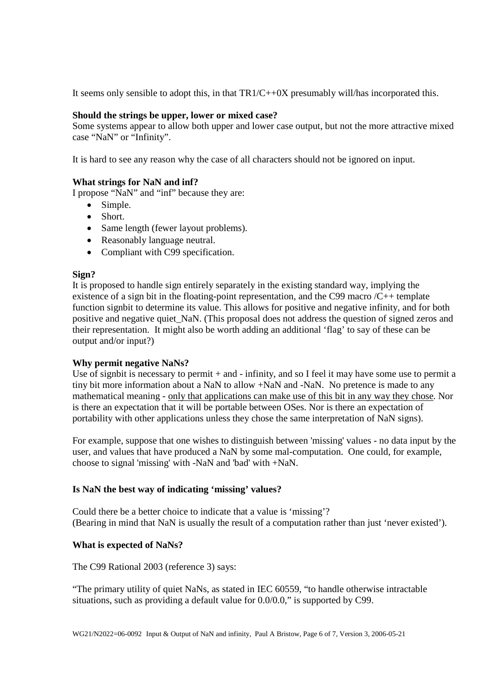It seems only sensible to adopt this, in that  $TR1/C+0X$  presumably will/has incorporated this.

## **Should the strings be upper, lower or mixed case?**

Some systems appear to allow both upper and lower case output, but not the more attractive mixed case "NaN" or "Infinity".

It is hard to see any reason why the case of all characters should not be ignored on input.

## **What strings for NaN and inf?**

I propose "NaN" and "inf" because they are:

- Simple.
- Short.
- Same length (fewer layout problems).
- Reasonably language neutral.
- Compliant with C99 specification.

## **Sign?**

It is proposed to handle sign entirely separately in the existing standard way, implying the existence of a sign bit in the floating-point representation, and the C99 macro  $/C++$  template function signbit to determine its value. This allows for positive and negative infinity, and for both positive and negative quiet\_NaN. (This proposal does not address the question of signed zeros and their representation. It might also be worth adding an additional 'flag' to say of these can be output and/or input?)

## **Why permit negative NaNs?**

Use of signbit is necessary to permit + and - infinity, and so I feel it may have some use to permit a tiny bit more information about a NaN to allow +NaN and -NaN. No pretence is made to any mathematical meaning - only that applications can make use of this bit in any way they chose. Nor is there an expectation that it will be portable between OSes. Nor is there an expectation of portability with other applications unless they chose the same interpretation of NaN signs).

For example, suppose that one wishes to distinguish between 'missing' values - no data input by the user, and values that have produced a NaN by some mal-computation. One could, for example, choose to signal 'missing' with -NaN and 'bad' with +NaN.

# **Is NaN the best way of indicating 'missing' values?**

Could there be a better choice to indicate that a value is 'missing'? (Bearing in mind that NaN is usually the result of a computation rather than just 'never existed').

# **What is expected of NaNs?**

The C99 Rational 2003 (reference 3) says:

"The primary utility of quiet NaNs, as stated in IEC 60559, "to handle otherwise intractable situations, such as providing a default value for 0.0/0.0," is supported by C99.